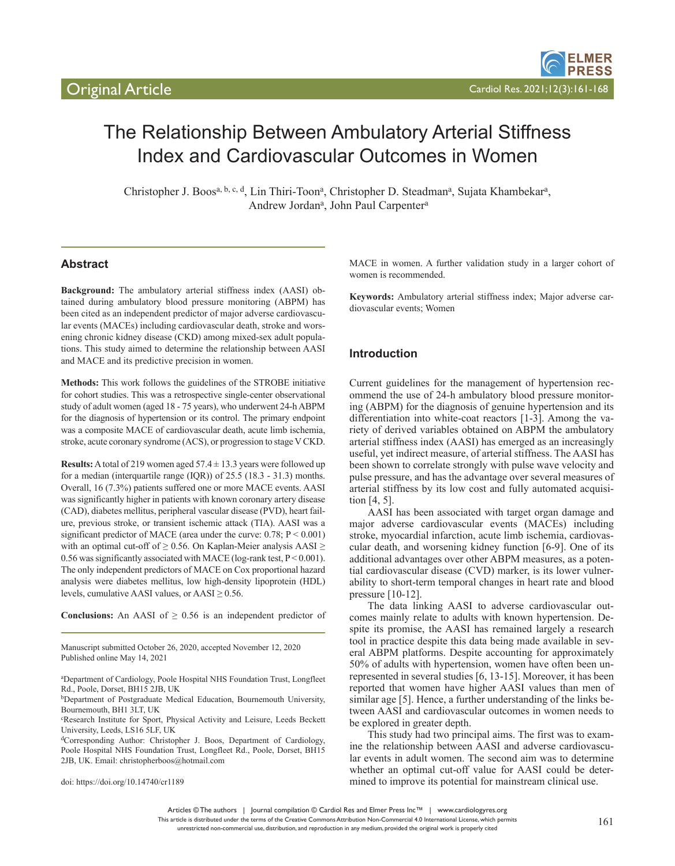# The Relationship Between Ambulatory Arterial Stiffness Index and Cardiovascular Outcomes in Women

Christopher J. Boos<sup>a, b, c, d</sup>, Lin Thiri-Toon<sup>a</sup>, Christopher D. Steadman<sup>a</sup>, Sujata Khambekar<sup>a</sup>, Andrew Jordan<sup>a</sup>, John Paul Carpenter<sup>a</sup>

# **Abstract**

**Background:** The ambulatory arterial stiffness index (AASI) obtained during ambulatory blood pressure monitoring (ABPM) has been cited as an independent predictor of major adverse cardiovascular events (MACEs) including cardiovascular death, stroke and worsening chronic kidney disease (CKD) among mixed-sex adult populations. This study aimed to determine the relationship between AASI and MACE and its predictive precision in women.

**Methods:** This work follows the guidelines of the STROBE initiative for cohort studies. This was a retrospective single-center observational study of adult women (aged 18 - 75 years), who underwent 24-h ABPM for the diagnosis of hypertension or its control. The primary endpoint was a composite MACE of cardiovascular death, acute limb ischemia, stroke, acute coronary syndrome (ACS), or progression to stage V CKD.

**Results:** A total of 219 women aged  $57.4 \pm 13.3$  years were followed up for a median (interquartile range (IQR)) of 25.5 (18.3 - 31.3) months. Overall, 16 (7.3%) patients suffered one or more MACE events. AASI was significantly higher in patients with known coronary artery disease (CAD), diabetes mellitus, peripheral vascular disease (PVD), heart failure, previous stroke, or transient ischemic attack (TIA). AASI was a significant predictor of MACE (area under the curve:  $0.78$ ;  $P < 0.001$ ) with an optimal cut-off of  $\geq$  0.56. On Kaplan-Meier analysis AASI  $\geq$ 0.56 was significantly associated with MACE (log-rank test,  $P < 0.001$ ). The only independent predictors of MACE on Cox proportional hazard analysis were diabetes mellitus, low high-density lipoprotein (HDL) levels, cumulative AASI values, or AASI  $\geq$  0.56.

**Conclusions:** An AASI of  $\geq 0.56$  is an independent predictor of

Manuscript submitted October 26, 2020, accepted November 12, 2020 Published online May 14, 2021

doi: https://doi.org/10.14740/cr1189

MACE in women. A further validation study in a larger cohort of women is recommended.

**Keywords:** Ambulatory arterial stiffness index; Major adverse cardiovascular events; Women

## **Introduction**

Current guidelines for the management of hypertension recommend the use of 24-h ambulatory blood pressure monitoring (ABPM) for the diagnosis of genuine hypertension and its differentiation into white-coat reactors [1-3]. Among the variety of derived variables obtained on ABPM the ambulatory arterial stiffness index (AASI) has emerged as an increasingly useful, yet indirect measure, of arterial stiffness. The AASI has been shown to correlate strongly with pulse wave velocity and pulse pressure, and has the advantage over several measures of arterial stiffness by its low cost and fully automated acquisition [4, 5].

AASI has been associated with target organ damage and major adverse cardiovascular events (MACEs) including stroke, myocardial infarction, acute limb ischemia, cardiovascular death, and worsening kidney function [6-9]. One of its additional advantages over other ABPM measures, as a potential cardiovascular disease (CVD) marker, is its lower vulnerability to short-term temporal changes in heart rate and blood pressure [10-12].

The data linking AASI to adverse cardiovascular outcomes mainly relate to adults with known hypertension. Despite its promise, the AASI has remained largely a research tool in practice despite this data being made available in several ABPM platforms. Despite accounting for approximately 50% of adults with hypertension, women have often been unrepresented in several studies [6, 13-15]. Moreover, it has been reported that women have higher AASI values than men of similar age [5]. Hence, a further understanding of the links between AASI and cardiovascular outcomes in women needs to be explored in greater depth.

This study had two principal aims. The first was to examine the relationship between AASI and adverse cardiovascular events in adult women. The second aim was to determine whether an optimal cut-off value for AASI could be determined to improve its potential for mainstream clinical use.

Articles © The authors | Journal compilation © Cardiol Res and Elmer Press Inc™ | www.cardiologyres.org

a Department of Cardiology, Poole Hospital NHS Foundation Trust, Longfleet Rd., Poole, Dorset, BH15 2JB, UK

bDepartment of Postgraduate Medical Education, Bournemouth University, Bournemouth, BH1 3LT, UK

c Research Institute for Sport, Physical Activity and Leisure, Leeds Beckett University, Leeds, LS16 5LF, UK

dCorresponding Author: Christopher J. Boos, Department of Cardiology, Poole Hospital NHS Foundation Trust, Longfleet Rd., Poole, Dorset, BH15 2JB, UK. Email: christopherboos@hotmail.com

This article is distributed under the terms of the Creative Commons Attribution Non-Commercial 4.0 International License, which permits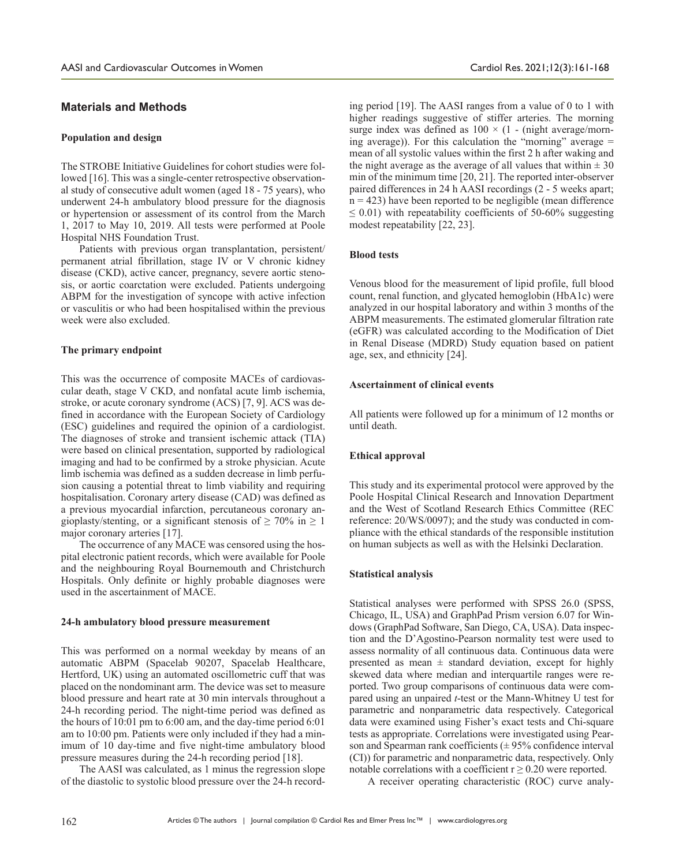## **Materials and Methods**

#### **Population and design**

The STROBE Initiative Guidelines for cohort studies were followed [16]. This was a single-center retrospective observational study of consecutive adult women (aged 18 - 75 years), who underwent 24-h ambulatory blood pressure for the diagnosis or hypertension or assessment of its control from the March 1, 2017 to May 10, 2019. All tests were performed at Poole Hospital NHS Foundation Trust.

Patients with previous organ transplantation, persistent/ permanent atrial fibrillation, stage IV or V chronic kidney disease (CKD), active cancer, pregnancy, severe aortic stenosis, or aortic coarctation were excluded. Patients undergoing ABPM for the investigation of syncope with active infection or vasculitis or who had been hospitalised within the previous week were also excluded.

## **The primary endpoint**

This was the occurrence of composite MACEs of cardiovascular death, stage V CKD, and nonfatal acute limb ischemia, stroke, or acute coronary syndrome (ACS) [7, 9]. ACS was defined in accordance with the European Society of Cardiology (ESC) guidelines and required the opinion of a cardiologist. The diagnoses of stroke and transient ischemic attack (TIA) were based on clinical presentation, supported by radiological imaging and had to be confirmed by a stroke physician. Acute limb ischemia was defined as a sudden decrease in limb perfusion causing a potential threat to limb viability and requiring hospitalisation. Coronary artery disease (CAD) was defined as a previous myocardial infarction, percutaneous coronary angioplasty/stenting, or a significant stenosis of  $\geq 70\%$  in  $\geq 1$ major coronary arteries [17].

The occurrence of any MACE was censored using the hospital electronic patient records, which were available for Poole and the neighbouring Royal Bournemouth and Christchurch Hospitals. Only definite or highly probable diagnoses were used in the ascertainment of MACE.

#### **24-h ambulatory blood pressure measurement**

This was performed on a normal weekday by means of an automatic ABPM (Spacelab 90207, Spacelab Healthcare, Hertford, UK) using an automated oscillometric cuff that was placed on the nondominant arm. The device was set to measure blood pressure and heart rate at 30 min intervals throughout a 24-h recording period. The night-time period was defined as the hours of 10:01 pm to 6:00 am, and the day-time period 6:01 am to 10:00 pm. Patients were only included if they had a minimum of 10 day-time and five night-time ambulatory blood pressure measures during the 24-h recording period [18].

The AASI was calculated, as 1 minus the regression slope of the diastolic to systolic blood pressure over the 24-h record-

ing period [19]. The AASI ranges from a value of 0 to 1 with higher readings suggestive of stiffer arteries. The morning surge index was defined as  $100 \times (1 - \text{(night average/morn-}$ ing average)). For this calculation the "morning" average  $=$ mean of all systolic values within the first 2 h after waking and the night average as the average of all values that within  $\pm 30$ min of the minimum time [20, 21]. The reported inter-observer paired differences in 24 h AASI recordings (2 - 5 weeks apart;  $n = 423$ ) have been reported to be negligible (mean difference  $\leq$  0.01) with repeatability coefficients of 50-60% suggesting modest repeatability [22, 23].

#### **Blood tests**

Venous blood for the measurement of lipid profile, full blood count, renal function, and glycated hemoglobin (HbA1c) were analyzed in our hospital laboratory and within 3 months of the ABPM measurements. The estimated glomerular filtration rate (eGFR) was calculated according to the Modification of Diet in Renal Disease (MDRD) Study equation based on patient age, sex, and ethnicity [24].

#### **Ascertainment of clinical events**

All patients were followed up for a minimum of 12 months or until death.

#### **Ethical approval**

This study and its experimental protocol were approved by the Poole Hospital Clinical Research and Innovation Department and the West of Scotland Research Ethics Committee (REC reference: 20/WS/0097); and the study was conducted in compliance with the ethical standards of the responsible institution on human subjects as well as with the Helsinki Declaration.

#### **Statistical analysis**

Statistical analyses were performed with SPSS 26.0 (SPSS, Chicago, IL, USA) and GraphPad Prism version 6.07 for Windows (GraphPad Software, San Diego, CA, USA). Data inspection and the D'Agostino-Pearson normality test were used to assess normality of all continuous data. Continuous data were presented as mean  $\pm$  standard deviation, except for highly skewed data where median and interquartile ranges were reported. Two group comparisons of continuous data were compared using an unpaired *t*-test or the Mann-Whitney U test for parametric and nonparametric data respectively. Categorical data were examined using Fisher's exact tests and Chi-square tests as appropriate. Correlations were investigated using Pearson and Spearman rank coefficients  $(\pm 95\%$  confidence interval (CI)) for parametric and nonparametric data, respectively. Only notable correlations with a coefficient  $r \geq 0.20$  were reported.

A receiver operating characteristic (ROC) curve analy-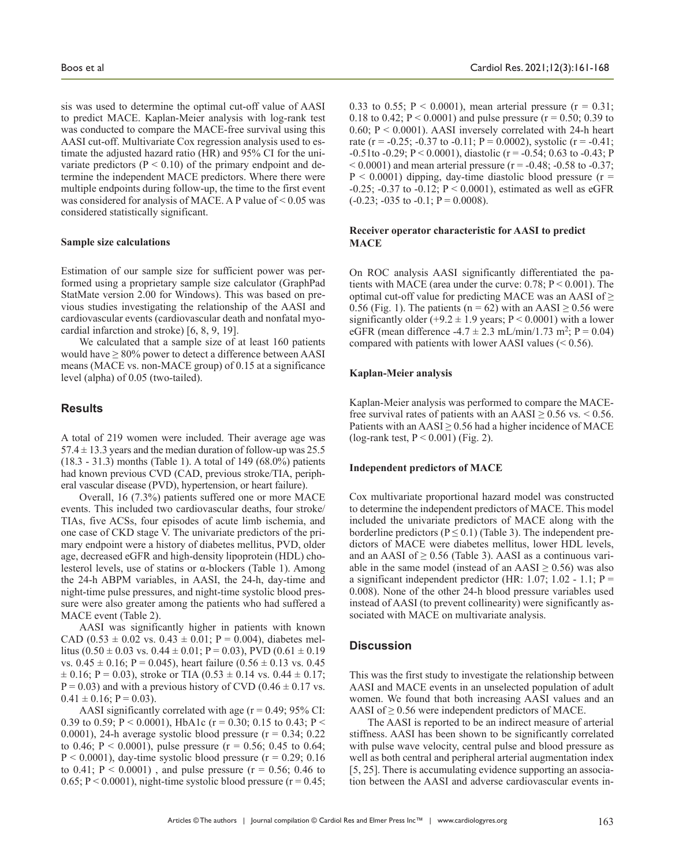sis was used to determine the optimal cut-off value of AASI to predict MACE. Kaplan-Meier analysis with log-rank test was conducted to compare the MACE-free survival using this AASI cut-off. Multivariate Cox regression analysis used to estimate the adjusted hazard ratio (HR) and 95% CI for the univariate predictors ( $P < 0.10$ ) of the primary endpoint and determine the independent MACE predictors. Where there were multiple endpoints during follow-up, the time to the first event was considered for analysis of MACE. A P value of < 0.05 was considered statistically significant.

#### **Sample size calculations**

Estimation of our sample size for sufficient power was performed using a proprietary sample size calculator (GraphPad StatMate version 2.00 for Windows). This was based on previous studies investigating the relationship of the AASI and cardiovascular events (cardiovascular death and nonfatal myocardial infarction and stroke) [6, 8, 9, 19].

We calculated that a sample size of at least 160 patients would have  $\geq 80\%$  power to detect a difference between AASI means (MACE vs. non-MACE group) of 0.15 at a significance level (alpha) of 0.05 (two-tailed).

#### **Results**

A total of 219 women were included. Their average age was  $57.4 \pm 13.3$  years and the median duration of follow-up was 25.5 (18.3 - 31.3) months (Table 1). A total of 149 (68.0%) patients had known previous CVD (CAD, previous stroke/TIA, peripheral vascular disease (PVD), hypertension, or heart failure).

Overall, 16 (7.3%) patients suffered one or more MACE events. This included two cardiovascular deaths, four stroke/ TIAs, five ACSs, four episodes of acute limb ischemia, and one case of CKD stage V. The univariate predictors of the primary endpoint were a history of diabetes mellitus, PVD, older age, decreased eGFR and high-density lipoprotein (HDL) cholesterol levels, use of statins or α-blockers (Table 1). Among the 24-h ABPM variables, in AASI, the 24-h, day-time and night-time pulse pressures, and night-time systolic blood pressure were also greater among the patients who had suffered a MACE event (Table 2).

AASI was significantly higher in patients with known CAD (0.53  $\pm$  0.02 vs. 0.43  $\pm$  0.01; P = 0.004), diabetes mellitus (0.50  $\pm$  0.03 vs. 0.44  $\pm$  0.01; P = 0.03), PVD (0.61  $\pm$  0.19 vs.  $0.45 \pm 0.16$ ; P = 0.045), heart failure  $(0.56 \pm 0.13 \text{ vs. } 0.45)$  $\pm$  0.16; P = 0.03), stroke or TIA (0.53  $\pm$  0.14 vs. 0.44  $\pm$  0.17;  $P = 0.03$ ) and with a previous history of CVD (0.46  $\pm$  0.17 vs.  $0.41 \pm 0.16$ ; P = 0.03).

AASI significantly correlated with age  $(r = 0.49; 95\% \text{ CI}:$ 0.39 to 0.59; P < 0.0001), HbA1c ( $r = 0.30$ ; 0.15 to 0.43; P < 0.0001), 24-h average systolic blood pressure  $(r = 0.34; 0.22)$ to 0.46;  $P < 0.0001$ ), pulse pressure ( $r = 0.56$ ; 0.45 to 0.64;  $P < 0.0001$ ), day-time systolic blood pressure ( $r = 0.29$ ; 0.16 to 0.41;  $P < 0.0001$ ), and pulse pressure ( $r = 0.56$ ; 0.46 to 0.65;  $P < 0.0001$ ), night-time systolic blood pressure ( $r = 0.45$ ; 0.33 to 0.55;  $P < 0.0001$ ), mean arterial pressure ( $r = 0.31$ ; 0.18 to 0.42;  $P < 0.0001$ ) and pulse pressure ( $r = 0.50$ ; 0.39 to 0.60;  $P \le 0.0001$ ). AASI inversely correlated with 24-h heart rate (r = -0.25; -0.37 to -0.11; P = 0.0002), systolic (r = -0.41;  $-0.51$ to  $-0.29$ ; P < 0.0001), diastolic (r =  $-0.54$ ; 0.63 to  $-0.43$ ; P  $(1.0001)$  and mean arterial pressure (r = -0.48; -0.58 to -0.37;  $P < 0.0001$ ) dipping, day-time diastolic blood pressure (r = -0.25; -0.37 to -0.12;  $P < 0.0001$ ), estimated as well as eGFR  $(-0.23; -0.35)$  to  $-0.1; P = 0.0008$ .

## **Receiver operator characteristic for AASI to predict MACE**

On ROC analysis AASI significantly differentiated the patients with MACE (area under the curve: 0.78; P < 0.001). The optimal cut-off value for predicting MACE was an AASI of  $\geq$ 0.56 (Fig. 1). The patients ( $n = 62$ ) with an AASI  $\geq 0.56$  were significantly older  $(+9.2 \pm 1.9$  years; P < 0.0001) with a lower eGFR (mean difference -4.7  $\pm$  2.3 mL/min/1.73 m<sup>2</sup>; P = 0.04) compared with patients with lower AASI values  $(< 0.56)$ .

#### **Kaplan-Meier analysis**

Kaplan-Meier analysis was performed to compare the MACEfree survival rates of patients with an  $AASI \geq 0.56$  vs. < 0.56. Patients with an  $AASI \geq 0.56$  had a higher incidence of MACE (log-rank test,  $P < 0.001$ ) (Fig. 2).

#### **Independent predictors of MACE**

Cox multivariate proportional hazard model was constructed to determine the independent predictors of MACE. This model included the univariate predictors of MACE along with the borderline predictors ( $P \le 0.1$ ) (Table 3). The independent predictors of MACE were diabetes mellitus, lower HDL levels, and an AASI of  $\geq$  0.56 (Table 3). AASI as a continuous variable in the same model (instead of an AASI  $\geq$  0.56) was also a significant independent predictor (HR: 1.07; 1.02 - 1.1;  $P =$ 0.008). None of the other 24-h blood pressure variables used instead of AASI (to prevent collinearity) were significantly associated with MACE on multivariate analysis.

#### **Discussion**

This was the first study to investigate the relationship between AASI and MACE events in an unselected population of adult women. We found that both increasing AASI values and an AASI of  $\geq$  0.56 were independent predictors of MACE.

The AASI is reported to be an indirect measure of arterial stiffness. AASI has been shown to be significantly correlated with pulse wave velocity, central pulse and blood pressure as well as both central and peripheral arterial augmentation index [5, 25]. There is accumulating evidence supporting an association between the AASI and adverse cardiovascular events in-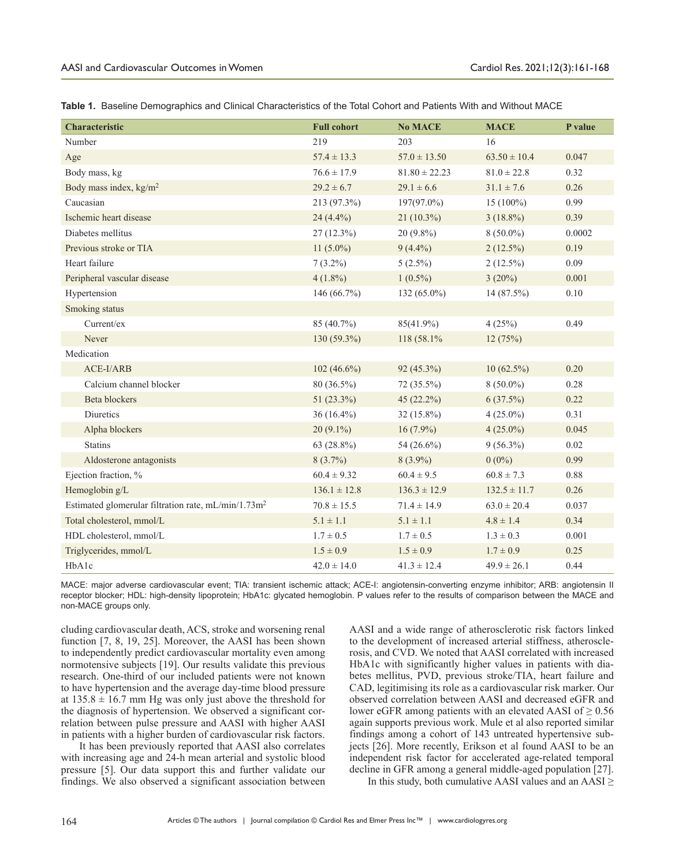| Characteristic                                                  | <b>Full cohort</b> | <b>No MACE</b>    | <b>MACE</b>      | P value  |
|-----------------------------------------------------------------|--------------------|-------------------|------------------|----------|
| Number                                                          | 219                | 203               | 16               |          |
| Age                                                             | $57.4 \pm 13.3$    | $57.0 \pm 13.50$  | $63.50 \pm 10.4$ | 0.047    |
| Body mass, kg                                                   | $76.6 \pm 17.9$    | $81.80 \pm 22.23$ | $81.0 \pm 22.8$  | 0.32     |
| Body mass index, $\text{kg/m}^2$                                | $29.2 \pm 6.7$     | $29.1 \pm 6.6$    | $31.1 \pm 7.6$   | 0.26     |
| Caucasian                                                       | 213 (97.3%)        | 197(97.0%)        | $15(100\%)$      | 0.99     |
| Ischemic heart disease                                          | 24 $(4.4\%)$       | $21(10.3\%)$      | $3(18.8\%)$      | 0.39     |
| Diabetes mellitus                                               | $27(12.3\%)$       | $20(9.8\%)$       | $8(50.0\%)$      | 0.0002   |
| Previous stroke or TIA                                          | 11 $(5.0\%)$       | $9(4.4\%)$        | $2(12.5\%)$      | 0.19     |
| Heart failure                                                   | $7(3.2\%)$         | $5(2.5\%)$        | $2(12.5\%)$      | 0.09     |
| Peripheral vascular disease                                     | $4(1.8\%)$         | $1(0.5\%)$        | $3(20\%)$        | 0.001    |
| Hypertension                                                    | 146 (66.7%)        | 132 (65.0%)       | 14 (87.5%)       | $0.10\,$ |
| Smoking status                                                  |                    |                   |                  |          |
| Current/ex                                                      | 85 (40.7%)         | 85(41.9%)         | 4(25%)           | 0.49     |
| Never                                                           | $130(59.3\%)$      | 118 (58.1%)       | 12(75%)          |          |
| Medication                                                      |                    |                   |                  |          |
| ACE-I/ARB                                                       | 102 $(46.6\%)$     | 92 (45.3%)        | $10(62.5\%)$     | 0.20     |
| Calcium channel blocker                                         | 80 (36.5%)         | 72 (35.5%)        | $8(50.0\%)$      | 0.28     |
| <b>Beta blockers</b>                                            | 51 $(23.3\%)$      | $45(22.2\%)$      | $6(37.5\%)$      | 0.22     |
| Diuretics                                                       | $36(16.4\%)$       | $32(15.8\%)$      | $4(25.0\%)$      | 0.31     |
| Alpha blockers                                                  | $20(9.1\%)$        | $16(7.9\%)$       | $4(25.0\%)$      | 0.045    |
| <b>Statins</b>                                                  | 63 (28.8%)         | 54 (26.6%)        | $9(56.3\%)$      | 0.02     |
| Aldosterone antagonists                                         | $8(3.7\%)$         | $8(3.9\%)$        | $0(0\%)$         | 0.99     |
| Ejection fraction, %                                            | $60.4 \pm 9.32$    | $60.4 \pm 9.5$    | $60.8 \pm 7.3$   | 0.88     |
| Hemoglobin g/L                                                  | $136.1 \pm 12.8$   | $136.3 \pm 12.9$  | $132.5 \pm 11.7$ | 0.26     |
| Estimated glomerular filtration rate, mL/min/1.73m <sup>2</sup> | $70.8 \pm 15.5$    | $71.4 \pm 14.9$   | $63.0 \pm 20.4$  | 0.037    |
| Total cholesterol, mmol/L                                       | $5.1 \pm 1.1$      | $5.1 \pm 1.1$     | $4.8 \pm 1.4$    | 0.34     |
| HDL cholesterol, mmol/L                                         | $1.7 \pm 0.5$      | $1.7 \pm 0.5$     | $1.3 \pm 0.3$    | 0.001    |
| Triglycerides, mmol/L                                           | $1.5 \pm 0.9$      | $1.5 \pm 0.9$     | $1.7 \pm 0.9$    | 0.25     |
| HbA1c                                                           | $42.0 \pm 14.0$    | $41.3 \pm 12.4$   | $49.9 \pm 26.1$  | 0.44     |

**Table 1.** Baseline Demographics and Clinical Characteristics of the Total Cohort and Patients With and Without MACE

MACE: major adverse cardiovascular event; TIA: transient ischemic attack; ACE-I: angiotensin-converting enzyme inhibitor; ARB: angiotensin II receptor blocker; HDL: high-density lipoprotein; HbA1c: glycated hemoglobin. P values refer to the results of comparison between the MACE and non-MACE groups only.

cluding cardiovascular death, ACS, stroke and worsening renal function [7, 8, 19, 25]. Moreover, the AASI has been shown to independently predict cardiovascular mortality even among normotensive subjects [19]. Our results validate this previous research. One-third of our included patients were not known to have hypertension and the average day-time blood pressure at  $135.8 \pm 16.7$  mm Hg was only just above the threshold for the diagnosis of hypertension. We observed a significant correlation between pulse pressure and AASI with higher AASI in patients with a higher burden of cardiovascular risk factors.

It has been previously reported that AASI also correlates with increasing age and 24-h mean arterial and systolic blood pressure [5]. Our data support this and further validate our findings. We also observed a significant association between AASI and a wide range of atherosclerotic risk factors linked to the development of increased arterial stiffness, atherosclerosis, and CVD. We noted that AASI correlated with increased HbA1c with significantly higher values in patients with diabetes mellitus, PVD, previous stroke/TIA, heart failure and CAD, legitimising its role as a cardiovascular risk marker. Our observed correlation between AASI and decreased eGFR and lower eGFR among patients with an elevated AASI of  $\geq 0.56$ again supports previous work. Mule et al also reported similar findings among a cohort of 143 untreated hypertensive subjects [26]. More recently, Erikson et al found AASI to be an independent risk factor for accelerated age-related temporal decline in GFR among a general middle-aged population [27].

In this study, both cumulative AASI values and an AASI ≥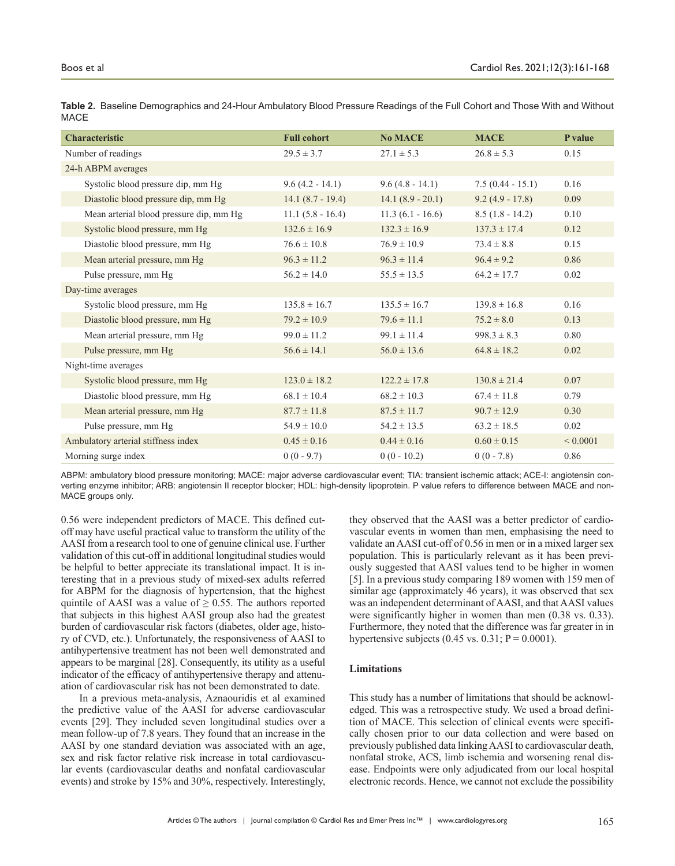| <b>Characteristic</b>                   | <b>Full cohort</b> | <b>No MACE</b>      | <b>MACE</b>        | P value      |
|-----------------------------------------|--------------------|---------------------|--------------------|--------------|
| Number of readings                      | $29.5 \pm 3.7$     | $27.1 \pm 5.3$      | $26.8 \pm 5.3$     | 0.15         |
| 24-h ABPM averages                      |                    |                     |                    |              |
| Systolic blood pressure dip, mm Hg      | $9.6(4.2 - 14.1)$  | $9.6(4.8 - 14.1)$   | $7.5(0.44 - 15.1)$ | 0.16         |
| Diastolic blood pressure dip, mm Hg     | $14.1(8.7 - 19.4)$ | $14.1 (8.9 - 20.1)$ | $9.2(4.9 - 17.8)$  | 0.09         |
| Mean arterial blood pressure dip, mm Hg | $11.1(5.8 - 16.4)$ | $11.3(6.1 - 16.6)$  | $8.5(1.8 - 14.2)$  | 0.10         |
| Systolic blood pressure, mm Hg          | $132.6 \pm 16.9$   | $132.3 \pm 16.9$    | $137.3 \pm 17.4$   | 0.12         |
| Diastolic blood pressure, mm Hg         | $76.6 \pm 10.8$    | $76.9 \pm 10.9$     | $73.4 \pm 8.8$     | 0.15         |
| Mean arterial pressure, mm Hg           | $96.3 \pm 11.2$    | $96.3 \pm 11.4$     | $96.4 \pm 9.2$     | 0.86         |
| Pulse pressure, mm Hg                   | $56.2 \pm 14.0$    | $55.5 \pm 13.5$     | $64.2 \pm 17.7$    | 0.02         |
| Day-time averages                       |                    |                     |                    |              |
| Systolic blood pressure, mm Hg          | $135.8 \pm 16.7$   | $135.5 \pm 16.7$    | $139.8 \pm 16.8$   | 0.16         |
| Diastolic blood pressure, mm Hg         | $79.2 \pm 10.9$    | $79.6 \pm 11.1$     | $75.2 \pm 8.0$     | 0.13         |
| Mean arterial pressure, mm Hg           | $99.0 \pm 11.2$    | $99.1 \pm 11.4$     | $998.3 \pm 8.3$    | 0.80         |
| Pulse pressure, mm Hg                   | $56.6 \pm 14.1$    | $56.0 \pm 13.6$     | $64.8 \pm 18.2$    | 0.02         |
| Night-time averages                     |                    |                     |                    |              |
| Systolic blood pressure, mm Hg          | $123.0 \pm 18.2$   | $122.2 \pm 17.8$    | $130.8 \pm 21.4$   | 0.07         |
| Diastolic blood pressure, mm Hg         | $68.1 \pm 10.4$    | $68.2 \pm 10.3$     | $67.4 \pm 11.8$    | 0.79         |
| Mean arterial pressure, mm Hg           | $87.7 \pm 11.8$    | $87.5 \pm 11.7$     | $90.7 \pm 12.9$    | 0.30         |
| Pulse pressure, mm Hg                   | $54.9 \pm 10.0$    | $54.2 \pm 13.5$     | $63.2 \pm 18.5$    | 0.02         |
| Ambulatory arterial stiffness index     | $0.45 \pm 0.16$    | $0.44 \pm 0.16$     | $0.60 \pm 0.15$    | ${}< 0.0001$ |
| Morning surge index                     | $0(0 - 9.7)$       | $0(0 - 10.2)$       | $0(0 - 7.8)$       | 0.86         |

**Table 2.** Baseline Demographics and 24-Hour Ambulatory Blood Pressure Readings of the Full Cohort and Those With and Without MACE

ABPM: ambulatory blood pressure monitoring; MACE: major adverse cardiovascular event; TIA: transient ischemic attack; ACE-I: angiotensin converting enzyme inhibitor; ARB: angiotensin II receptor blocker; HDL: high-density lipoprotein. P value refers to difference between MACE and non-MACE groups only.

0.56 were independent predictors of MACE. This defined cutoff may have useful practical value to transform the utility of the AASI from a research tool to one of genuine clinical use. Further validation of this cut-off in additional longitudinal studies would be helpful to better appreciate its translational impact. It is interesting that in a previous study of mixed-sex adults referred for ABPM for the diagnosis of hypertension, that the highest quintile of AASI was a value of  $\geq$  0.55. The authors reported that subjects in this highest AASI group also had the greatest burden of cardiovascular risk factors (diabetes, older age, history of CVD, etc.). Unfortunately, the responsiveness of AASI to antihypertensive treatment has not been well demonstrated and appears to be marginal [28]. Consequently, its utility as a useful indicator of the efficacy of antihypertensive therapy and attenuation of cardiovascular risk has not been demonstrated to date.

In a previous meta-analysis, Aznaouridis et al examined the predictive value of the AASI for adverse cardiovascular events [29]. They included seven longitudinal studies over a mean follow-up of 7.8 years. They found that an increase in the AASI by one standard deviation was associated with an age, sex and risk factor relative risk increase in total cardiovascular events (cardiovascular deaths and nonfatal cardiovascular events) and stroke by 15% and 30%, respectively. Interestingly, they observed that the AASI was a better predictor of cardiovascular events in women than men, emphasising the need to validate an AASI cut-off of 0.56 in men or in a mixed larger sex population. This is particularly relevant as it has been previously suggested that AASI values tend to be higher in women [5]. In a previous study comparing 189 women with 159 men of similar age (approximately 46 years), it was observed that sex was an independent determinant of AASI, and that AASI values were significantly higher in women than men (0.38 vs. 0.33). Furthermore, they noted that the difference was far greater in in hypertensive subjects  $(0.45 \text{ vs. } 0.31; P = 0.0001)$ .

## **Limitations**

This study has a number of limitations that should be acknowledged. This was a retrospective study. We used a broad definition of MACE. This selection of clinical events were specifically chosen prior to our data collection and were based on previously published data linking AASI to cardiovascular death, nonfatal stroke, ACS, limb ischemia and worsening renal disease. Endpoints were only adjudicated from our local hospital electronic records. Hence, we cannot not exclude the possibility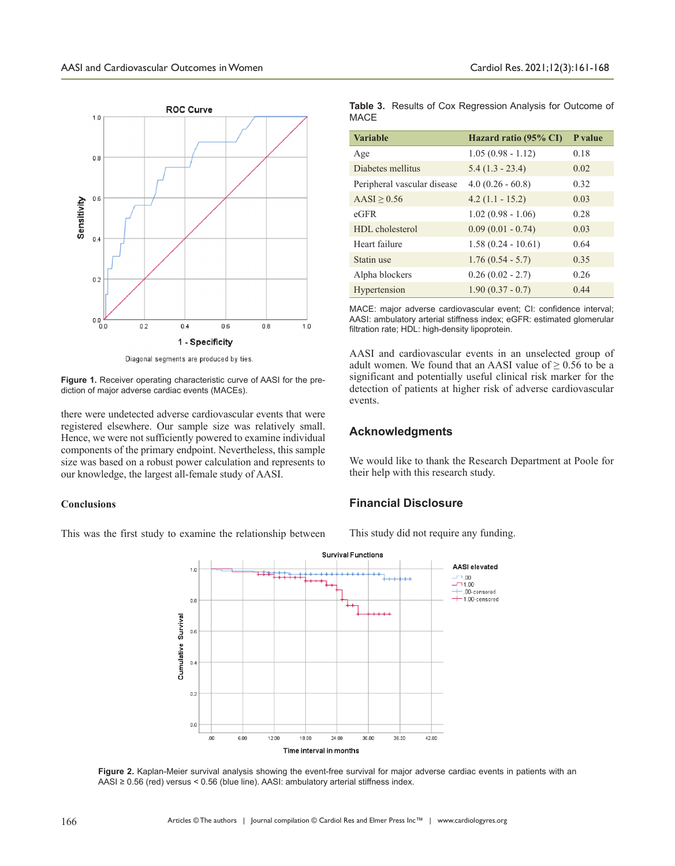

Diagonal segments are produced by ties

**Figure 1.** Receiver operating characteristic curve of AASI for the prediction of major adverse cardiac events (MACEs).

there were undetected adverse cardiovascular events that were registered elsewhere. Our sample size was relatively small. Hence, we were not sufficiently powered to examine individual components of the primary endpoint. Nevertheless, this sample size was based on a robust power calculation and represents to our knowledge, the largest all-female study of AASI.

### **Conclusions**

This was the first study to examine the relationship between

**Table 3.** Results of Cox Regression Analysis for Outcome of MACE

| <b>Variable</b>             | Hazard ratio (95% CI) | P value |
|-----------------------------|-----------------------|---------|
| Age                         | $1.05(0.98 - 1.12)$   | 0.18    |
| Diabetes mellitus           | $5.4(1.3 - 23.4)$     | 0.02    |
| Peripheral vascular disease | $4.0(0.26 - 60.8)$    | 0.32    |
| $AASI \geq 0.56$            | $4.2(1.1 - 15.2)$     | 0.03    |
| $e$ GFR                     | $1.02(0.98 - 1.06)$   | 0.28    |
| HDL cholesterol             | $0.09(0.01 - 0.74)$   | 0.03    |
| Heart failure               | $1.58(0.24 - 10.61)$  | 0.64    |
| Statin use                  | $1.76(0.54 - 5.7)$    | 0.35    |
| Alpha blockers              | $0.26(0.02 - 2.7)$    | 0.26    |
| Hypertension                | $1.90(0.37 - 0.7)$    | 0.44    |

MACE: major adverse cardiovascular event; CI: confidence interval; AASI: ambulatory arterial stiffness index; eGFR: estimated glomerular filtration rate; HDL: high-density lipoprotein.

AASI and cardiovascular events in an unselected group of adult women. We found that an AASI value of  $\geq 0.56$  to be a significant and potentially useful clinical risk marker for the detection of patients at higher risk of adverse cardiovascular events.

## **Acknowledgments**

We would like to thank the Research Department at Poole for their help with this research study.

## **Financial Disclosure**

This study did not require any funding.



**Figure 2.** Kaplan-Meier survival analysis showing the event-free survival for major adverse cardiac events in patients with an AASI ≥ 0.56 (red) versus < 0.56 (blue line). AASI: ambulatory arterial stiffness index.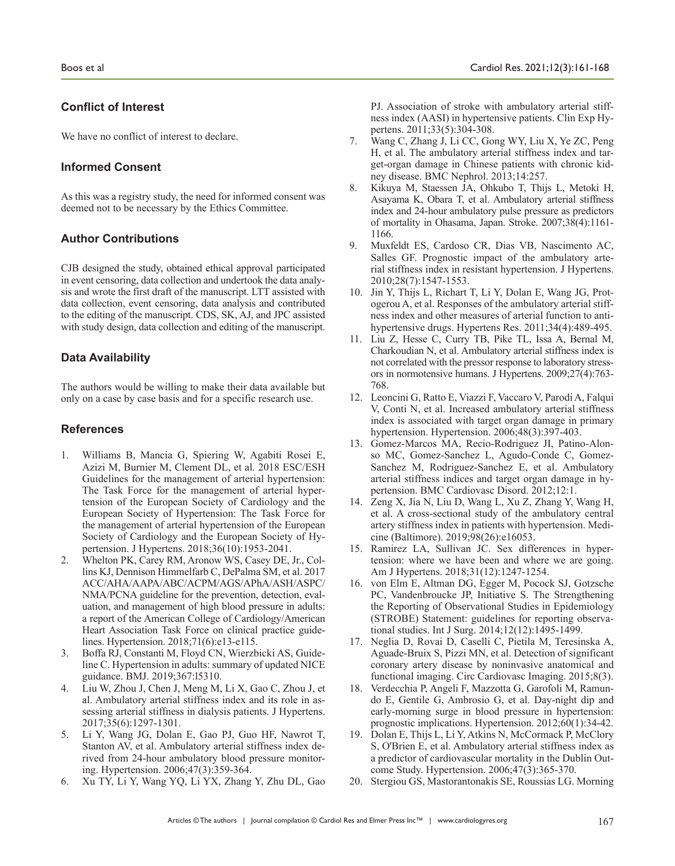# **Conflict of Interest**

We have no conflict of interest to declare.

# **Informed Consent**

As this was a registry study, the need for informed consent was deemed not to be necessary by the Ethics Committee.

# **Author Contributions**

CJB designed the study, obtained ethical approval participated in event censoring, data collection and undertook the data analysis and wrote the first draft of the manuscript. LTT assisted with data collection, event censoring, data analysis and contributed to the editing of the manuscript. CDS, SK, AJ, and JPC assisted with study design, data collection and editing of the manuscript.

# **Data Availability**

The authors would be willing to make their data available but only on a case by case basis and for a specific research use.

## **References**

- 1. Williams B, Mancia G, Spiering W, Agabiti Rosei E, Azizi M, Burnier M, Clement DL, et al. 2018 ESC/ESH Guidelines for the management of arterial hypertension: The Task Force for the management of arterial hypertension of the European Society of Cardiology and the European Society of Hypertension: The Task Force for the management of arterial hypertension of the European Society of Cardiology and the European Society of Hypertension. J Hypertens. 2018;36(10):1953-2041.
- 2. Whelton PK, Carey RM, Aronow WS, Casey DE, Jr., Collins KJ, Dennison Himmelfarb C, DePalma SM, et al. 2017 ACC/AHA/AAPA/ABC/ACPM/AGS/APhA/ASH/ASPC/ NMA/PCNA guideline for the prevention, detection, evaluation, and management of high blood pressure in adults: a report of the American College of Cardiology/American Heart Association Task Force on clinical practice guidelines. Hypertension. 2018;71(6):e13-e115.
- 3. Boffa RJ, Constanti M, Floyd CN, Wierzbicki AS, Guideline C. Hypertension in adults: summary of updated NICE guidance. BMJ. 2019;367:l5310.
- 4. Liu W, Zhou J, Chen J, Meng M, Li X, Gao C, Zhou J, et al. Ambulatory arterial stiffness index and its role in assessing arterial stiffness in dialysis patients. J Hypertens. 2017;35(6):1297-1301.
- 5. Li Y, Wang JG, Dolan E, Gao PJ, Guo HF, Nawrot T, Stanton AV, et al. Ambulatory arterial stiffness index derived from 24-hour ambulatory blood pressure monitoring. Hypertension. 2006;47(3):359-364.
- 6. Xu TY, Li Y, Wang YQ, Li YX, Zhang Y, Zhu DL, Gao

PJ. Association of stroke with ambulatory arterial stiffness index (AASI) in hypertensive patients. Clin Exp Hypertens. 2011;33(5):304-308.

- 7. Wang C, Zhang J, Li CC, Gong WY, Liu X, Ye ZC, Peng H, et al. The ambulatory arterial stiffness index and target-organ damage in Chinese patients with chronic kidney disease. BMC Nephrol. 2013;14:257.
- 8. Kikuya M, Staessen JA, Ohkubo T, Thijs L, Metoki H, Asayama K, Obara T, et al. Ambulatory arterial stiffness index and 24-hour ambulatory pulse pressure as predictors of mortality in Ohasama, Japan. Stroke. 2007;38(4):1161- 1166.
- 9. Muxfeldt ES, Cardoso CR, Dias VB, Nascimento AC, Salles GF. Prognostic impact of the ambulatory arterial stiffness index in resistant hypertension. J Hypertens. 2010;28(7):1547-1553.
- 10. Jin Y, Thijs L, Richart T, Li Y, Dolan E, Wang JG, Protogerou A, et al. Responses of the ambulatory arterial stiffness index and other measures of arterial function to antihypertensive drugs. Hypertens Res. 2011;34(4):489-495.
- 11. Liu Z, Hesse C, Curry TB, Pike TL, Issa A, Bernal M, Charkoudian N, et al. Ambulatory arterial stiffness index is not correlated with the pressor response to laboratory stressors in normotensive humans. J Hypertens. 2009;27(4):763- 768.
- 12. Leoncini G, Ratto E, Viazzi F, Vaccaro V, Parodi A, Falqui V, Conti N, et al. Increased ambulatory arterial stiffness index is associated with target organ damage in primary hypertension. Hypertension. 2006;48(3):397-403.
- 13. Gomez-Marcos MA, Recio-Rodriguez JI, Patino-Alonso MC, Gomez-Sanchez L, Agudo-Conde C, Gomez-Sanchez M, Rodriguez-Sanchez E, et al. Ambulatory arterial stiffness indices and target organ damage in hypertension. BMC Cardiovasc Disord. 2012;12:1.
- 14. Zeng X, Jia N, Liu D, Wang L, Xu Z, Zhang Y, Wang H, et al. A cross-sectional study of the ambulatory central artery stiffness index in patients with hypertension. Medicine (Baltimore). 2019;98(26):e16053.
- 15. Ramirez LA, Sullivan JC. Sex differences in hypertension: where we have been and where we are going. Am J Hypertens. 2018;31(12):1247-1254.
- 16. von Elm E, Altman DG, Egger M, Pocock SJ, Gotzsche PC, Vandenbroucke JP, Initiative S. The Strengthening the Reporting of Observational Studies in Epidemiology (STROBE) Statement: guidelines for reporting observational studies. Int J Surg. 2014;12(12):1495-1499.
- 17. Neglia D, Rovai D, Caselli C, Pietila M, Teresinska A, Aguade-Bruix S, Pizzi MN, et al. Detection of significant coronary artery disease by noninvasive anatomical and functional imaging. Circ Cardiovasc Imaging. 2015;8(3).
- 18. Verdecchia P, Angeli F, Mazzotta G, Garofoli M, Ramundo E, Gentile G, Ambrosio G, et al. Day-night dip and early-morning surge in blood pressure in hypertension: prognostic implications. Hypertension. 2012;60(1):34-42.
- 19. Dolan E, Thijs L, Li Y, Atkins N, McCormack P, McClory S, O'Brien E, et al. Ambulatory arterial stiffness index as a predictor of cardiovascular mortality in the Dublin Outcome Study. Hypertension. 2006;47(3):365-370.
- 20. Stergiou GS, Mastorantonakis SE, Roussias LG. Morning